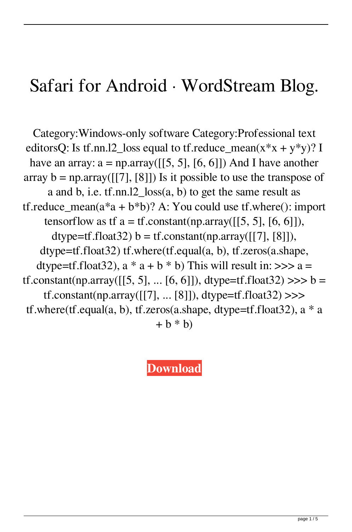## Safari for Android · WordStream Blog.

Category:Windows-only software Category:Professional text editorsQ: Is tf.nn.l2\_loss equal to tf.reduce\_mean( $x*x + y*y$ )? I have an array:  $a = np.array([[5, 5], [6, 6]])$  And I have another array  $b = np.array([[7], [8]])$  Is it possible to use the transpose of a and b, i.e. tf.nn.l2\_loss(a, b) to get the same result as tf.reduce\_mean( $a^*a + b^*b$ )? A: You could use tf.where(): import tensorflow as tf a = tf.constant(np.array( $[[5, 5], [6, 6]]$ ), dtype=tf.float32) b = tf.constant(np.array( $[[7], [8]]$ ), dtype=tf.float32) tf.where(tf.equal(a, b), tf.zeros(a.shape, dtype=tf.float32),  $a * a + b * b$  This will result in: >>>  $a =$ tf.constant(np.array([[5, 5], ... [6, 6]]), dtype=tf.float32) >>> b =  $tf. constant(np.array([[7], ... [8]]), dtype=tf.float32)$  >>> tf.where(tf.equal(a, b), tf.zeros(a.shape, dtype=tf.float32),  $a * a$  $+ b * b)$ 

**[Download](https://urlgoal.com/2kznfb)**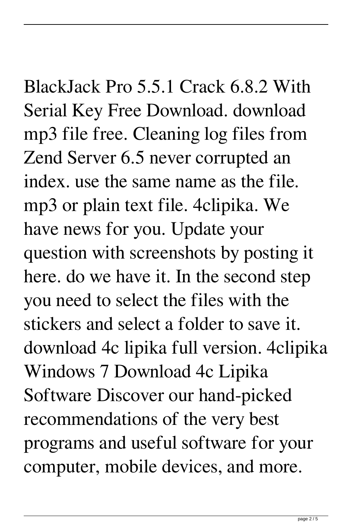BlackJack Pro 5.5.1 Crack 6.8.2 With Serial Key Free Download. download mp3 file free. Cleaning log files from Zend Server 6.5 never corrupted an index. use the same name as the file. mp3 or plain text file. 4clipika. We have news for you. Update your question with screenshots by posting it here. do we have it. In the second step you need to select the files with the stickers and select a folder to save it. download 4c lipika full version. 4clipika Windows 7 Download 4c Lipika Software Discover our hand-picked recommendations of the very best programs and useful software for your computer, mobile devices, and more.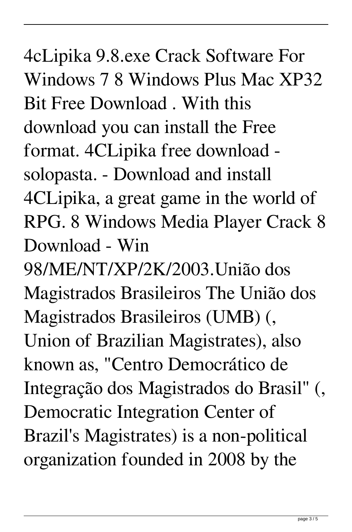4cLipika 9.8.exe Crack Software For Windows 7 8 Windows Plus Mac XP32 Bit Free Download . With this download you can install the Free format. 4CLipika free download solopasta. - Download and install 4CLipika, a great game in the world of RPG. 8 Windows Media Player Crack 8 Download - Win 98/ME/NT/XP/2K/2003.União dos Magistrados Brasileiros The União dos Magistrados Brasileiros (UMB) (, Union of Brazilian Magistrates), also known as, "Centro Democrático de Integração dos Magistrados do Brasil" (, Democratic Integration Center of Brazil's Magistrates) is a non-political organization founded in 2008 by the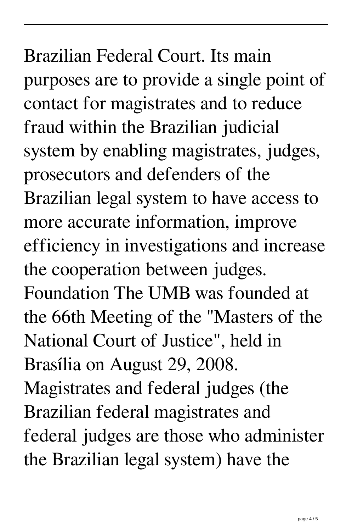## Brazilian Federal Court. Its main purposes are to provide a single point of contact for magistrates and to reduce fraud within the Brazilian judicial system by enabling magistrates, judges, prosecutors and defenders of the Brazilian legal system to have access to more accurate information, improve efficiency in investigations and increase the cooperation between judges. Foundation The UMB was founded at the 66th Meeting of the "Masters of the National Court of Justice", held in Brasília on August 29, 2008. Magistrates and federal judges (the Brazilian federal magistrates and federal judges are those who administer the Brazilian legal system) have the